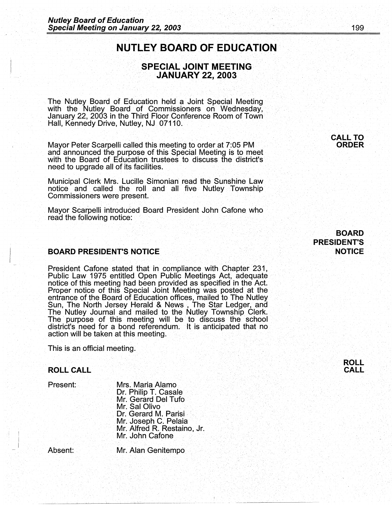# **NUTLEY BOARD OF EDUCATION**

### **SPECIAL JOINT MEETING JANUARY 22, 2003**

The Nutley Board of Education held a Joint Special Meeting with the Nutley Board of Commissioners on Wednesday, January 22, 2003 in the Third Floor Conference Room of Town Hall, Kennedy Drive, Nutley, NJ 07110.

Mayor Peter Scarpelli called this meeting to order at 7:05 PM and announced the purpose of this Special Meeting is to meet with the Board of Education trustees to discuss the district's need to upgrade all of its facilities.

Municipal Clerk Mrs. Lucille Simonian read the Sunshine Law notice and called the roll and all five Nutley Township Commissioners were present.

Mayor Scarpelli introduced Board President John Cafone who read the following notice:

#### **BOARD PRESIDENT'S NOTICE**

President Cafone stated that in compliance with Chapter 231, Public Law 1975 entitled Open Public Meetings Act, adequate notice of this meeting had been provided as specified in the Act. Proper notice of this Special Joint Meeting was posted at the entrance of the Board of Education offices, mailed to The Nutley Sun, The North Jersey Herald & News , The Star Ledger, and The Nutley Journal and mailed to the Nutley Township Clerk. The purpose of this meeting will be to discuss the school district's need for a bond referendum;. It is anticipated that no action will be taken at this meeting.

This is an official meeting.

#### **ROLL CALL**

Present:

Mrs. Maria Alamo Dr. Philip T. Casale Mr. Gerard Del Tufo Mr. Sal Olivo Dr. Gerard M. Parisi. Mr. Joseph C. Palaia Mr. Alfred R. Restaino, Jr. Mr. John Cafone.

Absent: ..

 $\vert \cdot \vert$ . I

Mr. Alan Genitempo

**BOARD PRESIDENT'S .NOTICE** 

**CALL TO ORDER**